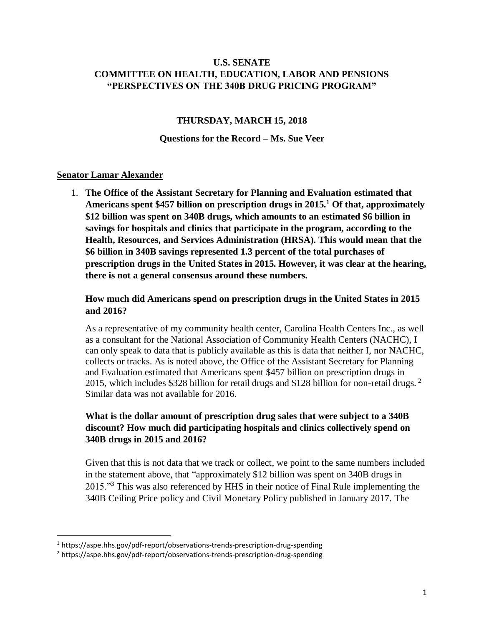### **U.S. SENATE COMMITTEE ON HEALTH, EDUCATION, LABOR AND PENSIONS "PERSPECTIVES ON THE 340B DRUG PRICING PROGRAM"**

### **THURSDAY, MARCH 15, 2018**

#### **Questions for the Record – Ms. Sue Veer**

#### **Senator Lamar Alexander**

 $\overline{\phantom{a}}$ 

1. **The Office of the Assistant Secretary for Planning and Evaluation estimated that Americans spent \$457 billion on prescription drugs in 2015.<sup>1</sup> Of that, approximately \$12 billion was spent on 340B drugs, which amounts to an estimated \$6 billion in savings for hospitals and clinics that participate in the program, according to the Health, Resources, and Services Administration (HRSA). This would mean that the \$6 billion in 340B savings represented 1.3 percent of the total purchases of prescription drugs in the United States in 2015. However, it was clear at the hearing, there is not a general consensus around these numbers.** 

### **How much did Americans spend on prescription drugs in the United States in 2015 and 2016?**

As a representative of my community health center, Carolina Health Centers Inc., as well as a consultant for the National Association of Community Health Centers (NACHC), I can only speak to data that is publicly available as this is data that neither I, nor NACHC, collects or tracks. As is noted above, the Office of the Assistant Secretary for Planning and Evaluation estimated that Americans spent \$457 billion on prescription drugs in 2015, which includes \$328 billion for retail drugs and \$128 billion for non-retail drugs.  $2$ Similar data was not available for 2016.

## **What is the dollar amount of prescription drug sales that were subject to a 340B discount? How much did participating hospitals and clinics collectively spend on 340B drugs in 2015 and 2016?**

Given that this is not data that we track or collect, we point to the same numbers included in the statement above, that "approximately \$12 billion was spent on 340B drugs in 2015."<sup>3</sup> This was also referenced by HHS in their notice of Final Rule implementing the 340B Ceiling Price policy and Civil Monetary Policy published in January 2017. The

<sup>1</sup> https://aspe.hhs.gov/pdf-report/observations-trends-prescription-drug-spending

<sup>2</sup> https://aspe.hhs.gov/pdf-report/observations-trends-prescription-drug-spending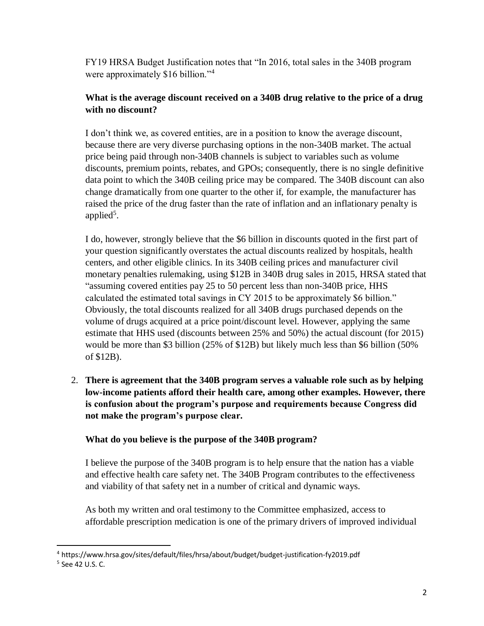FY19 HRSA Budget Justification notes that "In 2016, total sales in the 340B program were approximately \$16 billion."<sup>4</sup>

# **What is the average discount received on a 340B drug relative to the price of a drug with no discount?**

I don't think we, as covered entities, are in a position to know the average discount, because there are very diverse purchasing options in the non-340B market. The actual price being paid through non-340B channels is subject to variables such as volume discounts, premium points, rebates, and GPOs; consequently, there is no single definitive data point to which the 340B ceiling price may be compared. The 340B discount can also change dramatically from one quarter to the other if, for example, the manufacturer has raised the price of the drug faster than the rate of inflation and an inflationary penalty is applied<sup>5</sup>.

I do, however, strongly believe that the \$6 billion in discounts quoted in the first part of your question significantly overstates the actual discounts realized by hospitals, health centers, and other eligible clinics. In its 340B ceiling prices and manufacturer civil monetary penalties rulemaking, using \$12B in 340B drug sales in 2015, HRSA stated that "assuming covered entities pay 25 to 50 percent less than non-340B price, HHS calculated the estimated total savings in CY 2015 to be approximately \$6 billion." Obviously, the total discounts realized for all 340B drugs purchased depends on the volume of drugs acquired at a price point/discount level. However, applying the same estimate that HHS used (discounts between 25% and 50%) the actual discount (for 2015) would be more than \$3 billion (25% of \$12B) but likely much less than \$6 billion (50% of \$12B).

2. **There is agreement that the 340B program serves a valuable role such as by helping low-income patients afford their health care, among other examples. However, there is confusion about the program's purpose and requirements because Congress did not make the program's purpose clear.** 

# **What do you believe is the purpose of the 340B program?**

I believe the purpose of the 340B program is to help ensure that the nation has a viable and effective health care safety net. The 340B Program contributes to the effectiveness and viability of that safety net in a number of critical and dynamic ways.

As both my written and oral testimony to the Committee emphasized, access to affordable prescription medication is one of the primary drivers of improved individual

 $\overline{a}$ 

<sup>4</sup> https://www.hrsa.gov/sites/default/files/hrsa/about/budget/budget-justification-fy2019.pdf

<sup>5</sup> See 42 U.S. C.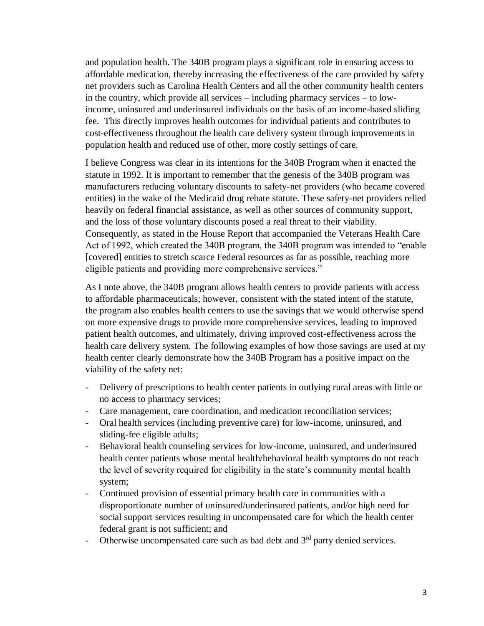and population health. The 340B program plays a significant role in ensuring access to affordable medication, thereby increasing the effectiveness of the care provided by safety net providers such as Carolina Health Centers and all the other community health centers in the country, which provide all services – including pharmacy services – to lowincome, uninsured and underinsured individuals on the basis of an income-based sliding fee. This directly improves health outcomes for individual patients and contributes to cost-effectiveness throughout the health care delivery system through improvements in population health and reduced use of other, more costly settings of care.

I believe Congress was clear in its intentions for the 340B Program when it enacted the statute in 1992. It is important to remember that the genesis of the 340B program was manufacturers reducing voluntary discounts to safety-net providers (who became covered entities) in the wake of the Medicaid drug rebate statute. These safety-net providers relied heavily on federal financial assistance, as well as other sources of community support, and the loss of those voluntary discounts posed a real threat to their viability. Consequently, as stated in the House Report that accompanied the Veterans Health Care Act of 1992, which created the 340B program, the 340B program was intended to "enable [covered] entities to stretch scarce Federal resources as far as possible, reaching more eligible patients and providing more comprehensive services."

As I note above, the 340B program allows health centers to provide patients with access to affordable pharmaceuticals; however, consistent with the stated intent of the statute, the program also enables health centers to use the savings that we would otherwise spend on more expensive drugs to provide more comprehensive services, leading to improved patient health outcomes, and ultimately, driving improved cost-effectiveness across the health care delivery system. The following examples of how those savings are used at my health center clearly demonstrate how the 340B Program has a positive impact on the viability of the safety net:

- Delivery of prescriptions to health center patients in outlying rural areas with little or no access to pharmacy services;
- Care management, care coordination, and medication reconciliation services;
- Oral health services (including preventive care) for low-income, uninsured, and sliding-fee eligible adults;
- Behavioral health counseling services for low-income, uninsured, and underinsured health center patients whose mental health/behavioral health symptoms do not reach the level of severity required for eligibility in the state's community mental health system;
- Continued provision of essential primary health care in communities with a disproportionate number of uninsured/underinsured patients, and/or high need for social support services resulting in uncompensated care for which the health center federal grant is not sufficient; and
- Otherwise uncompensated care such as bad debt and  $3<sup>rd</sup>$  party denied services.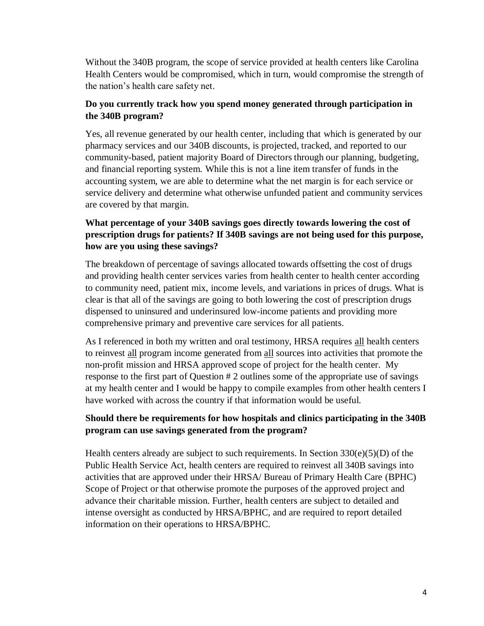Without the 340B program, the scope of service provided at health centers like Carolina Health Centers would be compromised, which in turn, would compromise the strength of the nation's health care safety net.

## **Do you currently track how you spend money generated through participation in the 340B program?**

Yes, all revenue generated by our health center, including that which is generated by our pharmacy services and our 340B discounts, is projected, tracked, and reported to our community-based, patient majority Board of Directors through our planning, budgeting, and financial reporting system. While this is not a line item transfer of funds in the accounting system, we are able to determine what the net margin is for each service or service delivery and determine what otherwise unfunded patient and community services are covered by that margin.

# **What percentage of your 340B savings goes directly towards lowering the cost of prescription drugs for patients? If 340B savings are not being used for this purpose, how are you using these savings?**

The breakdown of percentage of savings allocated towards offsetting the cost of drugs and providing health center services varies from health center to health center according to community need, patient mix, income levels, and variations in prices of drugs. What is clear is that all of the savings are going to both lowering the cost of prescription drugs dispensed to uninsured and underinsured low-income patients and providing more comprehensive primary and preventive care services for all patients.

As I referenced in both my written and oral testimony, HRSA requires all health centers to reinvest all program income generated from all sources into activities that promote the non-profit mission and HRSA approved scope of project for the health center. My response to the first part of Question # 2 outlines some of the appropriate use of savings at my health center and I would be happy to compile examples from other health centers I have worked with across the country if that information would be useful.

# **Should there be requirements for how hospitals and clinics participating in the 340B program can use savings generated from the program?**

Health centers already are subject to such requirements. In Section  $330(e)(5)(D)$  of the Public Health Service Act, health centers are required to reinvest all 340B savings into activities that are approved under their HRSA/ Bureau of Primary Health Care (BPHC) Scope of Project or that otherwise promote the purposes of the approved project and advance their charitable mission. Further, health centers are subject to detailed and intense oversight as conducted by HRSA/BPHC, and are required to report detailed information on their operations to HRSA/BPHC.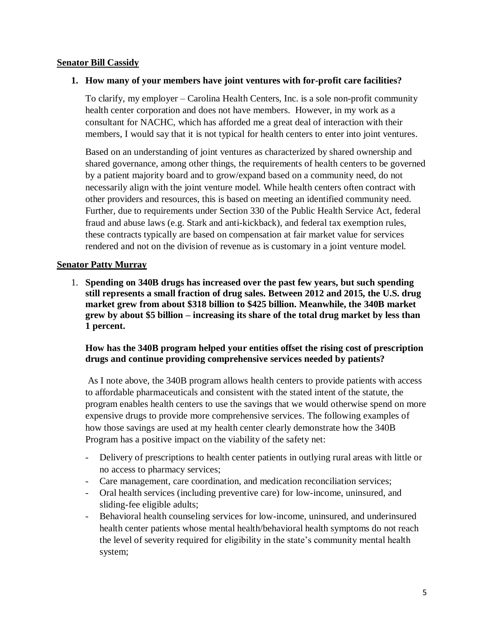### **Senator Bill Cassidy**

### **1. How many of your members have joint ventures with for-profit care facilities?**

To clarify, my employer – Carolina Health Centers, Inc. is a sole non-profit community health center corporation and does not have members. However, in my work as a consultant for NACHC, which has afforded me a great deal of interaction with their members, I would say that it is not typical for health centers to enter into joint ventures.

Based on an understanding of joint ventures as characterized by shared ownership and shared governance, among other things, the requirements of health centers to be governed by a patient majority board and to grow/expand based on a community need, do not necessarily align with the joint venture model. While health centers often contract with other providers and resources, this is based on meeting an identified community need. Further, due to requirements under Section 330 of the Public Health Service Act, federal fraud and abuse laws (e.g. Stark and anti-kickback), and federal tax exemption rules, these contracts typically are based on compensation at fair market value for services rendered and not on the division of revenue as is customary in a joint venture model.

### **Senator Patty Murray**

1. **Spending on 340B drugs has increased over the past few years, but such spending still represents a small fraction of drug sales. Between 2012 and 2015, the U.S. drug market grew from about \$318 billion to \$425 billion. Meanwhile, the 340B market grew by about \$5 billion – increasing its share of the total drug market by less than 1 percent.** 

### **How has the 340B program helped your entities offset the rising cost of prescription drugs and continue providing comprehensive services needed by patients?**

As I note above, the 340B program allows health centers to provide patients with access to affordable pharmaceuticals and consistent with the stated intent of the statute, the program enables health centers to use the savings that we would otherwise spend on more expensive drugs to provide more comprehensive services. The following examples of how those savings are used at my health center clearly demonstrate how the 340B Program has a positive impact on the viability of the safety net:

- Delivery of prescriptions to health center patients in outlying rural areas with little or no access to pharmacy services;
- Care management, care coordination, and medication reconciliation services;
- Oral health services (including preventive care) for low-income, uninsured, and sliding-fee eligible adults;
- Behavioral health counseling services for low-income, uninsured, and underinsured health center patients whose mental health/behavioral health symptoms do not reach the level of severity required for eligibility in the state's community mental health system;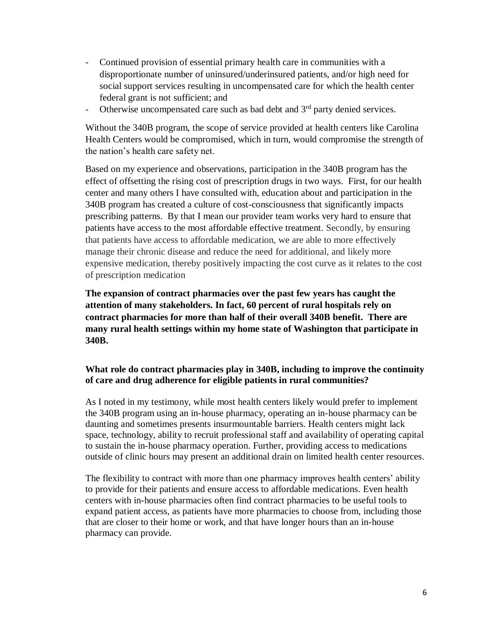- Continued provision of essential primary health care in communities with a disproportionate number of uninsured/underinsured patients, and/or high need for social support services resulting in uncompensated care for which the health center federal grant is not sufficient; and
- Otherwise uncompensated care such as bad debt and  $3<sup>rd</sup>$  party denied services.

Without the 340B program, the scope of service provided at health centers like Carolina Health Centers would be compromised, which in turn, would compromise the strength of the nation's health care safety net.

Based on my experience and observations, participation in the 340B program has the effect of offsetting the rising cost of prescription drugs in two ways. First, for our health center and many others I have consulted with, education about and participation in the 340B program has created a culture of cost-consciousness that significantly impacts prescribing patterns. By that I mean our provider team works very hard to ensure that patients have access to the most affordable effective treatment. Secondly, by ensuring that patients have access to affordable medication, we are able to more effectively manage their chronic disease and reduce the need for additional, and likely more expensive medication, thereby positively impacting the cost curve as it relates to the cost of prescription medication

**The expansion of contract pharmacies over the past few years has caught the attention of many stakeholders. In fact, 60 percent of rural hospitals rely on contract pharmacies for more than half of their overall 340B benefit. There are many rural health settings within my home state of Washington that participate in 340B.** 

### **What role do contract pharmacies play in 340B, including to improve the continuity of care and drug adherence for eligible patients in rural communities?**

As I noted in my testimony, while most health centers likely would prefer to implement the 340B program using an in-house pharmacy, operating an in-house pharmacy can be daunting and sometimes presents insurmountable barriers. Health centers might lack space, technology, ability to recruit professional staff and availability of operating capital to sustain the in-house pharmacy operation. Further, providing access to medications outside of clinic hours may present an additional drain on limited health center resources.

The flexibility to contract with more than one pharmacy improves health centers' ability to provide for their patients and ensure access to affordable medications. Even health centers with in-house pharmacies often find contract pharmacies to be useful tools to expand patient access, as patients have more pharmacies to choose from, including those that are closer to their home or work, and that have longer hours than an in-house pharmacy can provide.